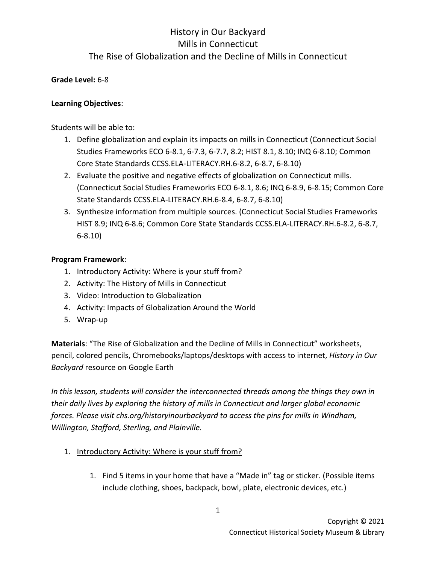#### **Grade Level:** 6-8

#### **Learning Objectives**:

Students will be able to:

- 1. Define globalization and explain its impacts on mills in Connecticut (Connecticut Social Studies Frameworks ECO 6-8.1, 6-7.3, 6-7.7, 8.2; HIST 8.1, 8.10; INQ 6-8.10; Common Core State Standards CCSS.ELA-LITERACY.RH.6-8.2, 6-8.7, 6-8.10)
- 2. Evaluate the positive and negative effects of globalization on Connecticut mills. (Connecticut Social Studies Frameworks ECO 6-8.1, 8.6; INQ 6-8.9, 6-8.15; Common Core State Standards CCSS.ELA-LITERACY.RH.6-8.4, 6-8.7, 6-8.10)
- 3. Synthesize information from multiple sources. (Connecticut Social Studies Frameworks HIST 8.9; INQ 6-8.6; Common Core State Standards CCSS.ELA-LITERACY.RH.6-8.2, 6-8.7, 6-8.10)

#### **Program Framework**:

- 1. Introductory Activity: Where is your stuff from?
- 2. Activity: The History of Mills in Connecticut
- 3. Video: Introduction to Globalization
- 4. Activity: Impacts of Globalization Around the World
- 5. Wrap-up

**Materials**: "The Rise of Globalization and the Decline of Mills in Connecticut" worksheets, pencil, colored pencils, Chromebooks/laptops/desktops with access to internet, *History in Our Backyard* resource on Google Earth

*In this lesson, students will consider the interconnected threads among the things they own in their daily lives by exploring the history of mills in Connecticut and larger global economic forces. Please visit chs.org/historyinourbackyard to access the pins for mills in Windham, Willington, Stafford, Sterling, and Plainville.* 

- 1. Introductory Activity: Where is your stuff from?
	- 1. Find 5 items in your home that have a "Made in" tag or sticker. (Possible items include clothing, shoes, backpack, bowl, plate, electronic devices, etc.)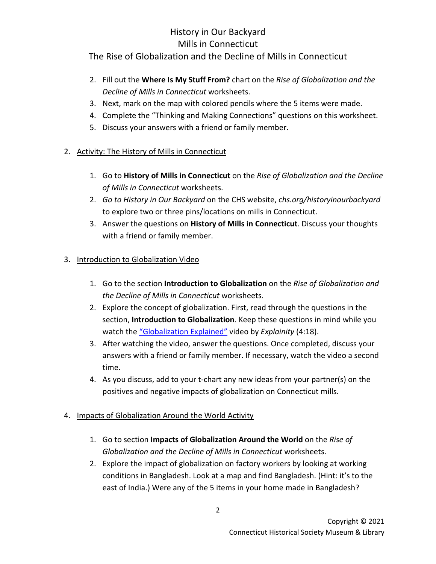### History in Our Backyard Mills in Connecticut

### The Rise of Globalization and the Decline of Mills in Connecticut

- 2. Fill out the **Where Is My Stuff From?** chart on the *Rise of Globalization and the Decline of Mills in Connecticut* worksheets.
- 3. Next, mark on the map with colored pencils where the 5 items were made.
- 4. Complete the "Thinking and Making Connections" questions on this worksheet.
- 5. Discuss your answers with a friend or family member.

### 2. Activity: The History of Mills in Connecticut

- 1. Go to **History of Mills in Connecticut** on the *Rise of Globalization and the Decline of Mills in Connecticut* worksheets.
- 2. *Go to History in Our Backyard* on the CHS website, *chs.org/historyinourbackyard*  to explore two or three pins/locations on mills in Connecticut.
- 3. Answer the questions on **History of Mills in Connecticut**. Discuss your thoughts with a friend or family member.

### 3. Introduction to Globalization Video

- 1. Go to the section **Introduction to Globalization** on the *Rise of Globalization and the Decline of Mills in Connecticut* worksheets.
- 2. Explore the concept of globalization. First, read through the questions in the section, **Introduction to Globalization**. Keep these questions in mind while you watch the ["Globalization Explained"](https://youtu.be/JJ0nFD19eT8) video by *Explainity* (4:18).
- 3. After watching the video, answer the questions. Once completed, discuss your answers with a friend or family member. If necessary, watch the video a second time.
- 4. As you discuss, add to your t-chart any new ideas from your partner(s) on the positives and negative impacts of globalization on Connecticut mills.

### 4. Impacts of Globalization Around the World Activity

- 1. Go to section **Impacts of Globalization Around the World** on the *Rise of Globalization and the Decline of Mills in Connecticut* worksheets.
- 2. Explore the impact of globalization on factory workers by looking at working conditions in Bangladesh. Look at a map and find Bangladesh. (Hint: it's to the east of India.) Were any of the 5 items in your home made in Bangladesh?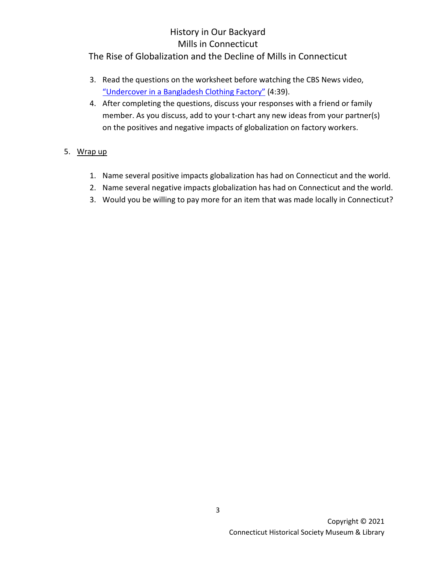### History in Our Backyard Mills in Connecticut

### The Rise of Globalization and the Decline of Mills in Connecticut

- 3. Read the questions on the worksheet before watching the CBS News video, ["Undercover in a Bangladesh Clothing Factory"](https://youtu.be/W1mvcFuiTts) (4:39).
- 4. After completing the questions, discuss your responses with a friend or family member. As you discuss, add to your t-chart any new ideas from your partner(s) on the positives and negative impacts of globalization on factory workers.

#### 5. Wrap up

- 1. Name several positive impacts globalization has had on Connecticut and the world.
- 2. Name several negative impacts globalization has had on Connecticut and the world.
- 3. Would you be willing to pay more for an item that was made locally in Connecticut?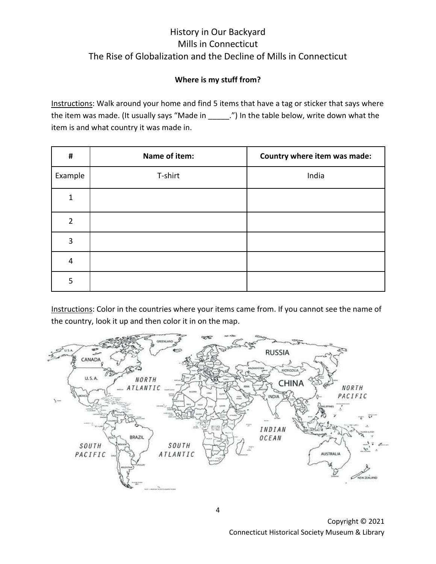### **Where is my stuff from?**

Instructions: Walk around your home and find 5 items that have a tag or sticker that says where the item was made. (It usually says "Made in \_\_\_\_\_.") In the table below, write down what the item is and what country it was made in.

| $\pmb{\sharp}$ | Name of item: | Country where item was made: |
|----------------|---------------|------------------------------|
| Example        | T-shirt       | India                        |
| 1              |               |                              |
| $\overline{2}$ |               |                              |
| 3              |               |                              |
| $\overline{4}$ |               |                              |
| 5              |               |                              |

Instructions: Color in the countries where your items came from. If you cannot see the name of the country, look it up and then color it in on the map.



Copyright © 2021 Connecticut Historical Society Museum & Library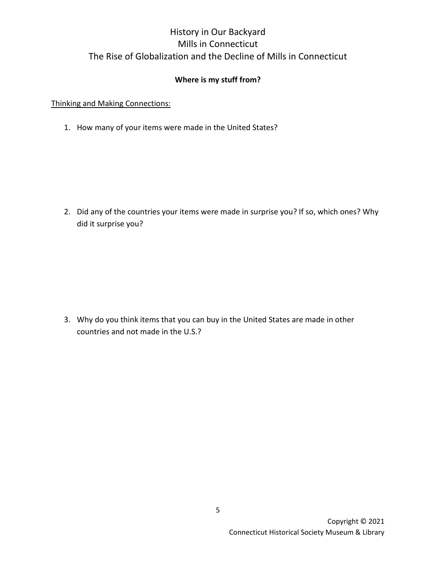### **Where is my stuff from?**

Thinking and Making Connections:

1. How many of your items were made in the United States?

2. Did any of the countries your items were made in surprise you? If so, which ones? Why did it surprise you?

3. Why do you think items that you can buy in the United States are made in other countries and not made in the U.S.?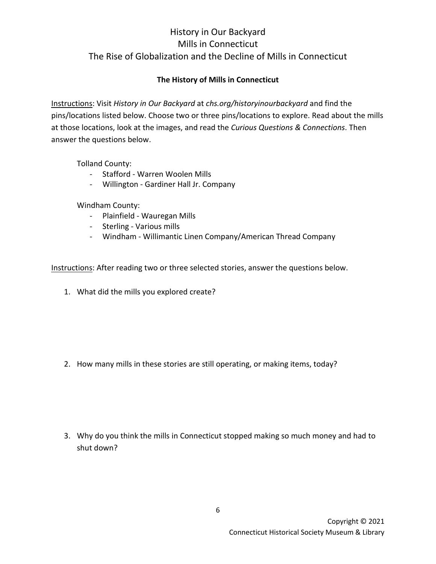### **The History of Mills in Connecticut**

Instructions: Visit *History in Our Backyard* at *chs.org/historyinourbackyard* and find the pins/locations listed below. Choose two or three pins/locations to explore. Read about the mills at those locations, look at the images, and read the *Curious Questions & Connections*. Then answer the questions below.

Tolland County:

- Stafford Warren Woolen Mills
- Willington Gardiner Hall Jr. Company

Windham County:

- Plainfield Wauregan Mills
- Sterling Various mills
- Windham Willimantic Linen Company/American Thread Company

Instructions: After reading two or three selected stories, answer the questions below.

1. What did the mills you explored create?

2. How many mills in these stories are still operating, or making items, today?

3. Why do you think the mills in Connecticut stopped making so much money and had to shut down?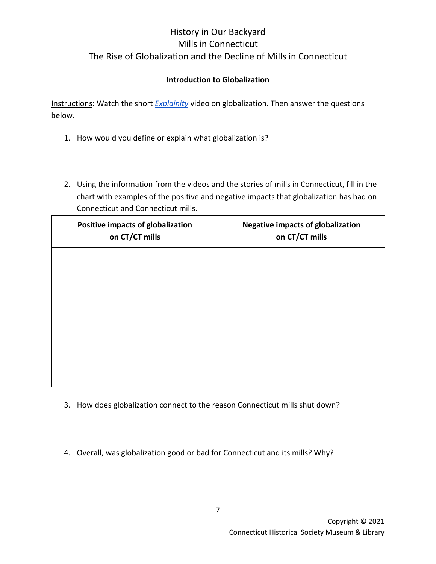### **Introduction to Globalization**

Instructions: Watch the short *[Explainity](https://www.youtube.com/watch?v=JJ0nFD19eT8)* video on globalization. Then answer the questions below.

- 1. How would you define or explain what globalization is?
- 2. Using the information from the videos and the stories of mills in Connecticut, fill in the chart with examples of the positive and negative impacts that globalization has had on Connecticut and Connecticut mills.

| Positive impacts of globalization<br>on CT/CT mills | <b>Negative impacts of globalization</b><br>on CT/CT mills |
|-----------------------------------------------------|------------------------------------------------------------|
|                                                     |                                                            |
|                                                     |                                                            |
|                                                     |                                                            |
|                                                     |                                                            |
|                                                     |                                                            |

- 3. How does globalization connect to the reason Connecticut mills shut down?
- 4. Overall, was globalization good or bad for Connecticut and its mills? Why?